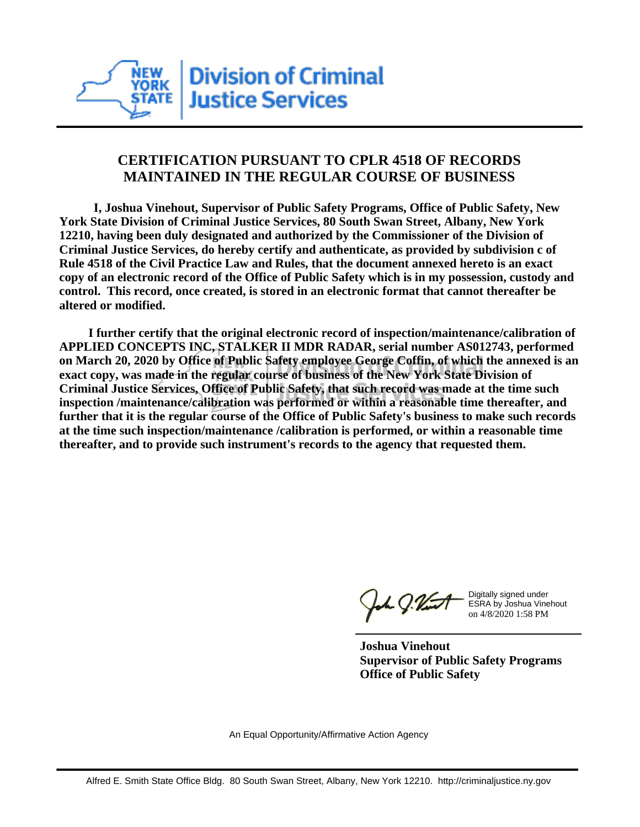

## **CERTIFICATION PURSUANT TO CPLR 4518 OF RECORDS MAINTAINED IN THE REGULAR COURSE OF BUSINESS**

 **I, Joshua Vinehout, Supervisor of Public Safety Programs, Office of Public Safety, New York State Division of Criminal Justice Services, 80 South Swan Street, Albany, New York 12210, having been duly designated and authorized by the Commissioner of the Division of Criminal Justice Services, do hereby certify and authenticate, as provided by subdivision c of Rule 4518 of the Civil Practice Law and Rules, that the document annexed hereto is an exact copy of an electronic record of the Office of Public Safety which is in my possession, custody and control. This record, once created, is stored in an electronic format that cannot thereafter be altered or modified.**

 **I further certify that the original electronic record of inspection/maintenance/calibration of APPLIED CONCEPTS INC, STALKER II MDR RADAR, serial number AS012743, performed on March 20, 2020 by Office of Public Safety employee George Coffin, of which the annexed is an exact copy, was made in the regular course of business of the New York State Division of Criminal Justice Services, Office of Public Safety, that such record was made at the time such inspection /maintenance/calibration was performed or within a reasonable time thereafter, and further that it is the regular course of the Office of Public Safety's business to make such records at the time such inspection/maintenance /calibration is performed, or within a reasonable time thereafter, and to provide such instrument's records to the agency that requested them.**

h J.Vint

Digitally signed under ESRA by Joshua Vinehout on 4/8/2020 1:58 PM

**Joshua Vinehout Supervisor of Public Safety Programs Office of Public Safety**

An Equal Opportunity/Affirmative Action Agency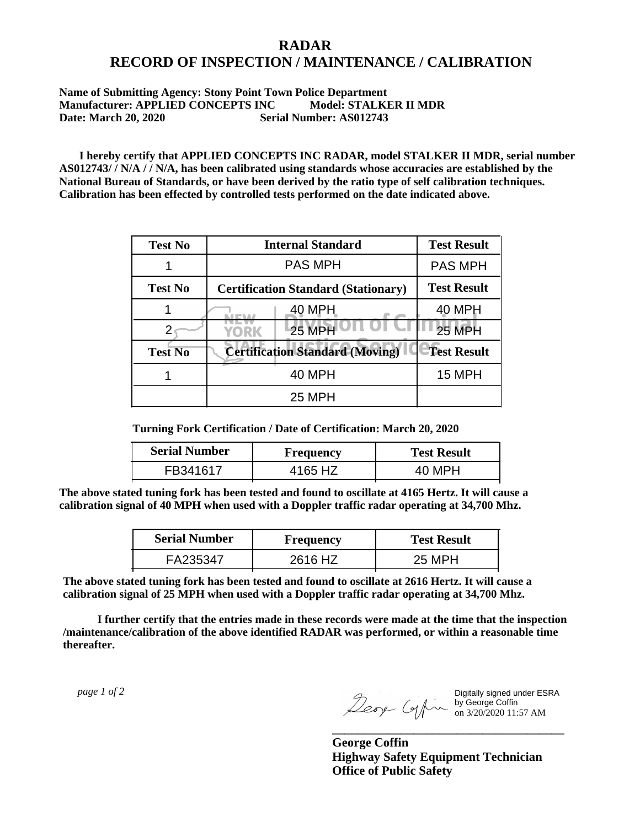## **RADAR RECORD OF INSPECTION / MAINTENANCE / CALIBRATION**

## **Name of Submitting Agency: Stony Point Town Police Department Manufacturer: APPLIED CONCEPTS INC Model: STALKER II MDR Date: March 20, 2020 Serial Number: AS012743**

 **I hereby certify that APPLIED CONCEPTS INC RADAR, model STALKER II MDR, serial number AS012743/ / N/A / / N/A, has been calibrated using standards whose accuracies are established by the National Bureau of Standards, or have been derived by the ratio type of self calibration techniques. Calibration has been effected by controlled tests performed on the date indicated above.**

| <b>Test No</b> | <b>Internal Standard</b>                   | <b>Test Result</b> |
|----------------|--------------------------------------------|--------------------|
|                | <b>PAS MPH</b>                             | <b>PAS MPH</b>     |
| <b>Test No</b> | <b>Certification Standard (Stationary)</b> | <b>Test Result</b> |
|                | 40 MPH                                     | 40 MPH             |
|                | <b>25 MPH</b><br>YORK                      | <b>25 MPH</b>      |
| <b>Test No</b> | <b>Certification Standard (Moving)</b>     | <b>Test Result</b> |
|                | 40 MPH                                     | <b>15 MPH</b>      |
|                | 25 MPH                                     |                    |

**Turning Fork Certification / Date of Certification: March 20, 2020**

| <b>Serial Number</b> | <b>Frequency</b> | <b>Test Result</b> |
|----------------------|------------------|--------------------|
| FR341617             | 4165 HZ          | 40 MPH             |

**The above stated tuning fork has been tested and found to oscillate at 4165 Hertz. It will cause a calibration signal of 40 MPH when used with a Doppler traffic radar operating at 34,700 Mhz.**

| <b>Serial Number</b> | Frequency | <b>Test Result</b> |
|----------------------|-----------|--------------------|
| FA235347             | 2616 HZ   | 25 MPH             |

**The above stated tuning fork has been tested and found to oscillate at 2616 Hertz. It will cause a calibration signal of 25 MPH when used with a Doppler traffic radar operating at 34,700 Mhz.**

 **I further certify that the entries made in these records were made at the time that the inspection /maintenance/calibration of the above identified RADAR was performed, or within a reasonable time thereafter.**

 *page 1 of 2* 

Digitally signed under ESRA by George Coffin on 3/20/2020 11:57 AM

**George Coffin Highway Safety Equipment Technician Office of Public Safety**

**\_\_\_\_\_\_\_\_\_\_\_\_\_\_\_\_\_\_\_\_\_\_\_\_\_\_\_\_\_\_\_\_\_\_\_\_\_**